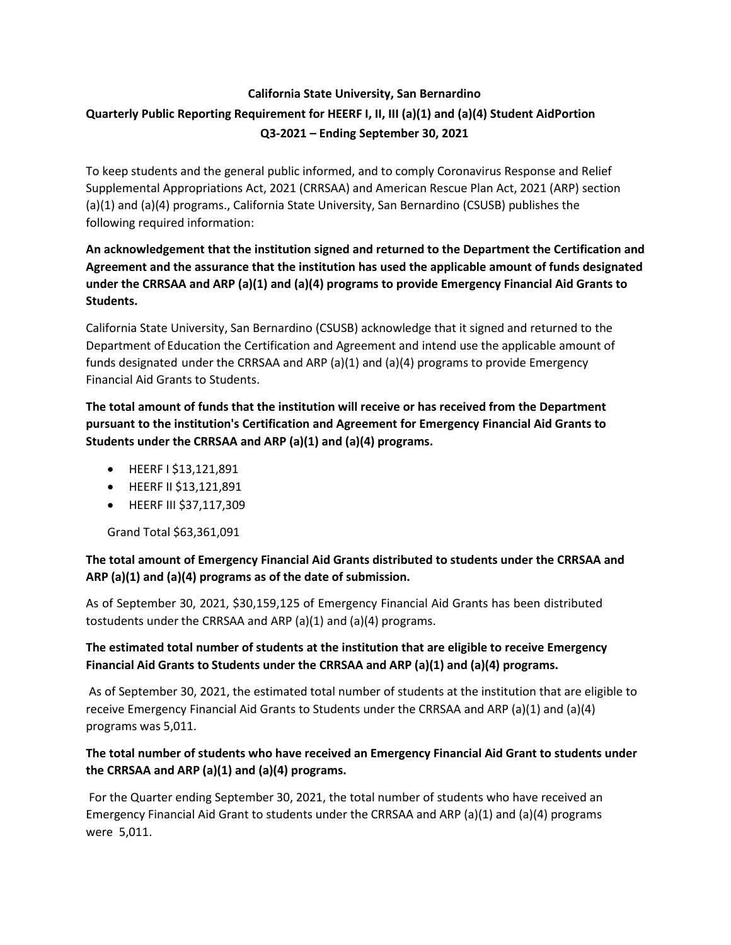# **California State University, San Bernardino Quarterly Public Reporting Requirement for HEERF I, II, III (a)(1) and (a)(4) Student AidPortion Q3-2021 – Ending September 30, 2021**

To keep students and the general public informed, and to comply Coronavirus Response and Relief Supplemental Appropriations Act, 2021 (CRRSAA) and American Rescue Plan Act, 2021 (ARP) section (a)(1) and (a)(4) programs., California State University, San Bernardino (CSUSB) publishes the following required information:

## **An acknowledgement that the institution signed and returned to the Department the Certification and Agreement and the assurance that the institution has used the applicable amount of funds designated under the CRRSAA and ARP (a)(1) and (a)(4) programs to provide Emergency Financial Aid Grants to Students.**

California State University, San Bernardino (CSUSB) acknowledge that it signed and returned to the Department of Education the Certification and Agreement and intend use the applicable amount of funds designated under the CRRSAA and ARP (a)(1) and (a)(4) programs to provide Emergency Financial Aid Grants to Students.

**The total amount of funds that the institution will receive or has received from the Department pursuant to the institution's Certification and Agreement for Emergency Financial Aid Grants to Students under the CRRSAA and ARP (a)(1) and (a)(4) programs.**

- HEERF I \$13,121,891
- HEERF II \$13,121,891
- HEERF III \$37,117,309

Grand Total \$63,361,091

### **The total amount of Emergency Financial Aid Grants distributed to students under the CRRSAA and ARP (a)(1) and (a)(4) programs as of the date of submission.**

As of September 30, 2021, \$30,159,125 of Emergency Financial Aid Grants has been distributed tostudents under the CRRSAA and ARP  $(a)(1)$  and  $(a)(4)$  programs.

## **The estimated total number of students at the institution that are eligible to receive Emergency Financial Aid Grants to Students under the CRRSAA and ARP (a)(1) and (a)(4) programs.**

As of September 30, 2021, the estimated total number of students at the institution that are eligible to receive Emergency Financial Aid Grants to Students under the CRRSAA and ARP (a)(1) and (a)(4) programs was 5,011.

### **The total number of students who have received an Emergency Financial Aid Grant to students under the CRRSAA and ARP (a)(1) and (a)(4) programs.**

For the Quarter ending September 30, 2021, the total number of students who have received an Emergency Financial Aid Grant to students under the CRRSAA and ARP (a)(1) and (a)(4) programs were 5,011.